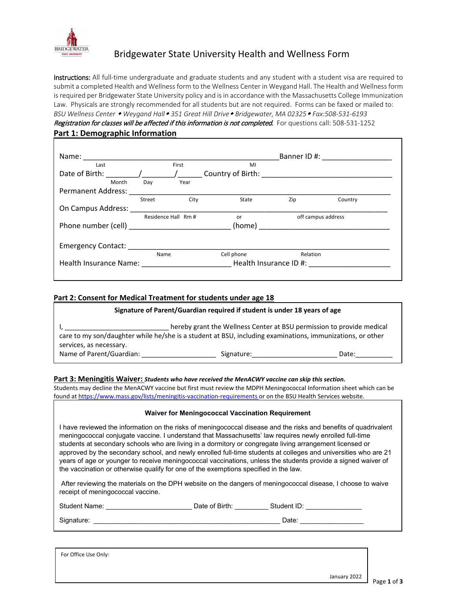

# Bridgewater State University Health and Wellness Form

Instructions: All full-time undergraduate and graduate students and any student with a student visa are required to submit a completed Health and Wellness form to the Wellness Center in Weygand Hall. The Health and Wellness form is required per Bridgewater State University policy and is in accordance with the Massachusetts College Immunization Law. Physicals are strongly recommended for all students but are not required. Forms can be faxed or mailed to: *BSU Wellness Center Weygand Hall 351 Great Hill Drive Bridgewater, MA 02325 Fax:508-531-6193* Registration for classes will be affected if this information is not completed. For questions call: 508-531-1252 **Part 1: Demographic Information** 

| Name:                     |        |                        |            |                    | Banner ID #: _______________ |
|---------------------------|--------|------------------------|------------|--------------------|------------------------------|
| Last                      |        | First                  | MI         |                    |                              |
| Date of Birth:            |        |                        |            |                    |                              |
| Month                     | Day    | Year                   |            |                    |                              |
| <b>Permanent Address:</b> |        |                        |            |                    |                              |
|                           | Street | City                   | State      | Zip                | Country                      |
| On Campus Address:        |        |                        |            |                    |                              |
|                           |        | Residence Hall Rm #    | or         | off campus address |                              |
|                           |        |                        | (home)     |                    |                              |
|                           |        |                        |            |                    |                              |
| Emergency Contact:        |        |                        |            |                    |                              |
|                           | Name   |                        | Cell phone | Relation           |                              |
| Health Insurance Name:    |        | Health Insurance ID #: |            |                    |                              |
|                           |        |                        |            |                    |                              |

### **Part 2: Consent for Medical Treatment for students under age 18**

| Signature of Parent/Guardian required if student is under 18 years of age                                                                                                          |            |       |  |
|------------------------------------------------------------------------------------------------------------------------------------------------------------------------------------|------------|-------|--|
| hereby grant the Wellness Center at BSU permission to provide medical<br>care to my son/daughter while he/she is a student at BSU, including examinations, immunizations, or other |            |       |  |
| services, as necessary.<br>Name of Parent/Guardian:                                                                                                                                | Signature: | Date: |  |

#### **Part 3: Meningitis Waiver:** *Students who have received the MenACWY vaccine can skip this section.*

Students may decline the MenACWY vaccine but first must review the MDPH Meningococcal Information sheet which can be found a[t https://www.mass.gov/lists/meningitis-vaccination-requirements](https://www.mass.gov/lists/meningitis-vaccination-requirements) or on the BSU Health Services website.

#### **Waiver for Meningococcal Vaccination Requirement**

I have reviewed the information on the risks of meningococcal disease and the risks and benefits of quadrivalent meningococcal conjugate vaccine. I understand that Massachusetts' law requires newly enrolled full-time students at secondary schools who are living in a dormitory or congregate living arrangement licensed or approved by the secondary school, and newly enrolled full-time students at colleges and universities who are 21 years of age or younger to receive meningococcal vaccinations, unless the students provide a signed waiver of the vaccination or otherwise qualify for one of the exemptions specified in the law.

After reviewing the materials on the DPH website on the dangers of meningococcal disease, I choose to waive receipt of meningococcal vaccine.

֦

| <b>Student Name:</b> | )ate | Birth.<br>$-$<br>- 01 | Student പ. |
|----------------------|------|-----------------------|------------|
|                      |      |                       |            |

Signature: \_\_\_\_\_\_\_\_\_\_\_\_\_\_\_\_\_\_\_\_\_\_\_\_\_\_\_\_\_\_\_\_\_\_\_\_\_\_\_\_\_\_\_\_\_\_\_\_\_\_ Date: \_\_\_\_\_\_\_\_\_\_\_\_\_\_\_\_\_

֞

For Office Use Only: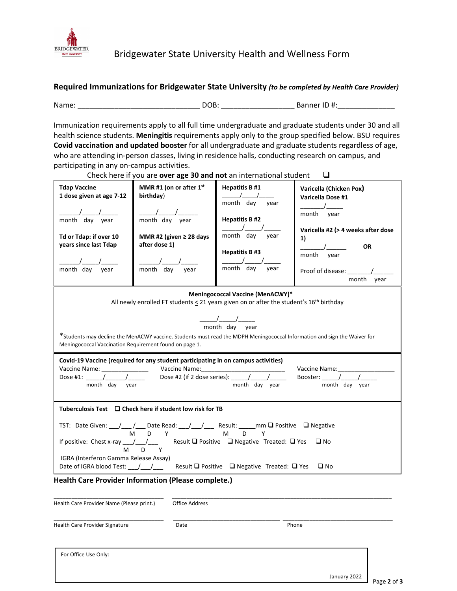

## **Required Immunizations for Bridgewater State University** *(to be completed by Health Care Provider)*

Name: \_\_\_\_\_\_\_\_\_\_\_\_\_\_\_\_\_\_\_\_\_\_\_\_\_\_\_\_\_\_ DOB: \_\_\_\_\_\_\_\_\_\_\_\_\_\_\_\_\_\_ Banner ID #:\_\_\_\_\_\_\_\_\_\_\_\_\_\_

Immunization requirements apply to all full time undergraduate and graduate students under 30 and all health science students. **Meningitis** requirements apply only to the group specified below. BSU requires **Covid vaccination and updated booster** for all undergraduate and graduate students regardless of age, who are attending in-person classes, living in residence halls, conducting research on campus, and participating in any on-campus activities.

Check here if you are **over age 30 and not** an international student

| <b>Tdap Vaccine</b><br>1 dose given at age 7-12<br>month day year<br>Td or Tdap: if over 10<br>years since last Tdap<br>month day year                                                                                                                                                                                                                                                                                                                                                        | MMR#1 (on or after 1 <sup>st</sup><br>birthday)<br>month day year<br>MMR #2 (given $\geq$ 28 days<br>after dose 1)<br>month day year | <b>Hepatitis B #1</b><br>$\sqrt{1}$<br>month day year<br><b>Hepatitis B#2</b><br>month day<br>year<br><b>Hepatitis B#3</b><br>month day<br>year | Varicella (Chicken Pox)<br>Varicella Dose #1<br>$\overline{\phantom{a}}$<br>month year<br>Varicella #2 (> 4 weeks after dose<br>1)<br><b>OR</b><br>month vear<br>month year |  |  |
|-----------------------------------------------------------------------------------------------------------------------------------------------------------------------------------------------------------------------------------------------------------------------------------------------------------------------------------------------------------------------------------------------------------------------------------------------------------------------------------------------|--------------------------------------------------------------------------------------------------------------------------------------|-------------------------------------------------------------------------------------------------------------------------------------------------|-----------------------------------------------------------------------------------------------------------------------------------------------------------------------------|--|--|
|                                                                                                                                                                                                                                                                                                                                                                                                                                                                                               | All newly enrolled FT students $\leq$ 21 years given on or after the student's $16^{th}$ birthday                                    | Meningococcal Vaccine (MenACWY)*                                                                                                                |                                                                                                                                                                             |  |  |
| $\frac{1}{\frac{1}{2}}$ month day year<br>*Students may decline the MenACWY vaccine. Students must read the MDPH Meningococcal Information and sign the Waiver for<br>Meningococcal Vaccination Requirement found on page 1.<br>Covid-19 Vaccine (required for any student participating in on campus activities)<br>Vaccine Name: _______________<br>Dose #2 (if 2 dose series): $\frac{1}{\sqrt{2}}$<br>Booster: $\frac{\sqrt{2}}{2}$<br>month day year<br>month day year<br>month day year |                                                                                                                                      |                                                                                                                                                 |                                                                                                                                                                             |  |  |
| Tuberculosis Test $\Box$ Check here if student low risk for TB<br>If positive: Chest x-ray $\frac{1}{\sqrt{1-\lambda}}$ Result $\Box$ Positive $\Box$ Negative Treated: $\Box$ Yes<br>$\square$ No<br>M<br>$D \Box$<br>Y<br>IGRA (Interferon Gamma Release Assay)<br>Date of IGRA blood Test: __/__/___ Result □ Positive □ Negative Treated: □ Yes<br>$\square$ No                                                                                                                           |                                                                                                                                      |                                                                                                                                                 |                                                                                                                                                                             |  |  |
| Health Care Provider Name (Please print.)                                                                                                                                                                                                                                                                                                                                                                                                                                                     | <b>Health Care Provider Information (Please complete.)</b><br><b>Office Address</b>                                                  |                                                                                                                                                 |                                                                                                                                                                             |  |  |
|                                                                                                                                                                                                                                                                                                                                                                                                                                                                                               |                                                                                                                                      |                                                                                                                                                 |                                                                                                                                                                             |  |  |

| <b>Health Care Provider Signature</b><br><b>OVIDER JIEI</b> | Date | none |
|-------------------------------------------------------------|------|------|

For Office Use Only: